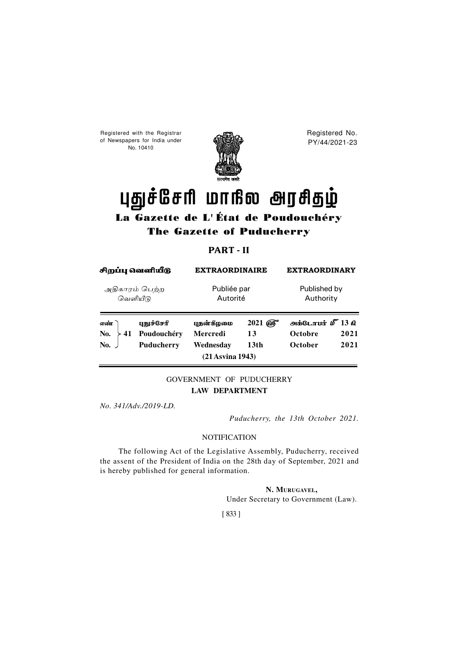Registered with the Registrar of Newspapers for India under No. 10410



Registered No. PY/44/2021-23

# புதுச்சேரி மாநில அரசிதழ்

# La Gazette de L' État de Poudouchéry The Gazette of Puducherry

## **PART - II**

| சிறப்பு வெளியீடு           |                                                | <b>EXTRAORDINAIRE</b>                      |                                           | <b>EXTRAORDINARY</b>                                                         |              |
|----------------------------|------------------------------------------------|--------------------------------------------|-------------------------------------------|------------------------------------------------------------------------------|--------------|
| அதிகாரம் பெற்ற<br>வெளியீடு |                                                | Publiée par<br>Autorité                    |                                           | Published by<br>Authority                                                    |              |
| எண்<br>No.<br>41<br>No.    | புதுச்சேரி<br>Poudouchéry<br><b>Puducherry</b> | புதன்கீழமை<br><b>Mercredi</b><br>Wednesdav | $2021$ $\omega$<br>13<br>13 <sub>th</sub> | $\omega$ BigL $\pi$ unt $\mathbf{D}^T$ 13 $\mathbf{D}$<br>Octobre<br>October | 2021<br>2021 |
|                            |                                                | $(21$ Asvina 1943)                         |                                           |                                                                              |              |

### GOVERNMENT OF PUDUCHERRY **LAW DEPARTMENT**

*No. 341/Adv./2019-LD.*

*Puducherry, the 13th October 2021.*

#### **NOTIFICATION**

The following Act of the Legislative Assembly, Puducherry, received the assent of the President of India on the 28th day of September, 2021 and is hereby published for general information.

**N. MURUGAVEL,**

Under Secretary to Government (Law).

[ 833 ]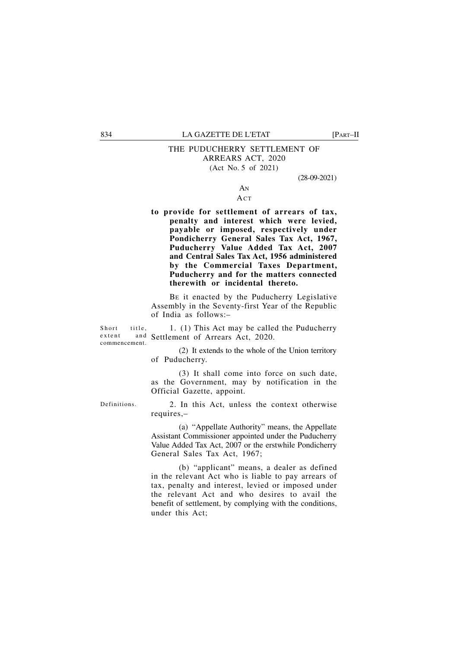#### THE PUDUCHERRY SETTLEMENT OF ARREARS ACT, 2020 (Act No. 5 of 2021)

(28-09-2021)

#### AN ACT

**to provide for settlement of arrears of tax, penalty and interest which were levied, payable or imposed, respectively under Pondicherry General Sales Tax Act, 1967, Puducherry Value Added Tax Act, 2007 and Central Sales Tax Act, 1956 administered by the Commercial Taxes Department, Puducherry and for the matters connected therewith or incidental thereto.**

BE it enacted by the Puducherry Legislative Assembly in the Seventy-first Year of the Republic of India as follows:–

Short title. commencement.

1. (1) This Act may be called the Puducherry extent and Settlement of Arrears Act, 2020.

> (2) It extends to the whole of the Union territory of Puducherry.

> (3) It shall come into force on such date, as the Government, may by notification in the Official Gazette, appoint.

Definitions.

2. In this Act, unless the context otherwise requires,–

(a) "Appellate Authority" means, the Appellate Assistant Commissioner appointed under the Puducherry Value Added Tax Act, 2007 or the erstwhile Pondicherry General Sales Tax Act, 1967;

(b) "applicant" means, a dealer as defined in the relevant Act who is liable to pay arrears of tax, penalty and interest, levied or imposed under the relevant Act and who desires to avail the benefit of settlement, by complying with the conditions, under this Act;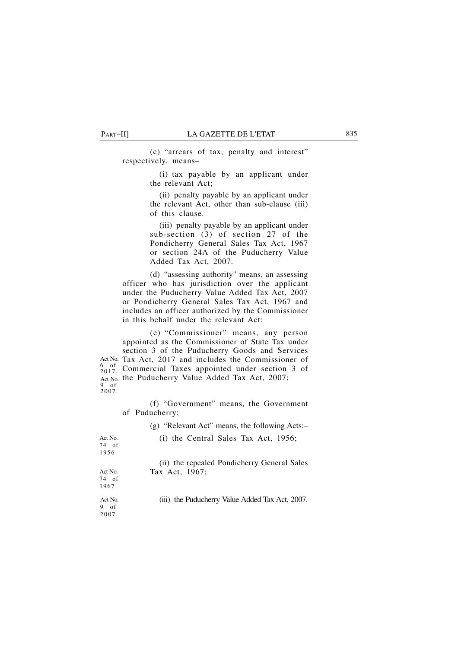(c) "arrears of tax, penalty and interest" respectively, means–

> (i) tax payable by an applicant under the relevant Act;

> (ii) penalty payable by an applicant under the relevant Act, other than sub-clause (iii) of this clause.

> (iii) penalty payable by an applicant under sub-section (3) of section 27 of the Pondicherry General Sales Tax Act, 1967 or section 24A of the Puducherry Value Added Tax Act, 2007.

(d) "assessing authority" means, an assessing officer who has jurisdiction over the applicant under the Puducherry Value Added Tax Act, 2007 or Pondicherry General Sales Tax Act, 1967 and includes an officer authorized by the Commissioner in this behalf under the relevant Act;

(e) "Commissioner" means, any person appointed as the Commissioner of State Tax under section 3 of the Puducherry Goods and Services Act No. Tax Act, 2017 and includes the Commissioner of  $\frac{6}{2017}$ . Commercial Taxes appointed under section 3 of Act No. the Puducherry Value Added Tax Act, 2007;<br>9 of<br>2007. 6 of 2017.

> (f) "Government" means, the Government of Puducherry;

> > (g) "Relevant Act" means, the following Acts:–

| Act No. | (i) the Central Sales Tax Act, $1956$ ;         |
|---------|-------------------------------------------------|
| 74 of   |                                                 |
| 1956.   |                                                 |
|         | (ii) the repealed Pondicherry General Sales     |
| Act No. | Tax Act, 1967;                                  |
| 74 of   |                                                 |
| 1967.   |                                                 |
| Act No. | (iii) the Puducherry Value Added Tax Act, 2007. |
| 9 of    |                                                 |
| 2007.   |                                                 |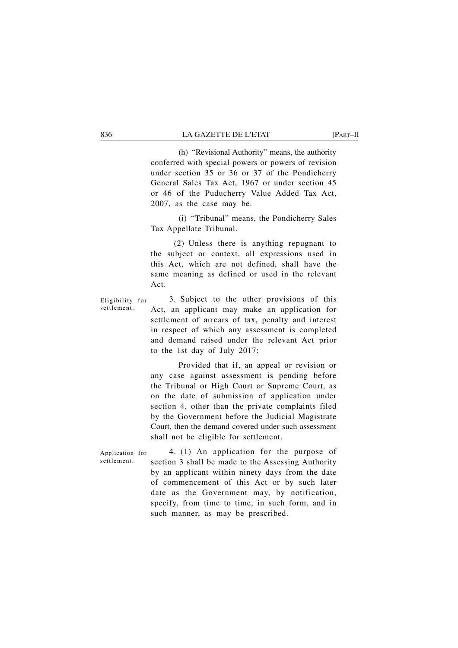(h) "Revisional Authority" means, the authority conferred with special powers or powers of revision under section 35 or 36 or 37 of the Pondicherry General Sales Tax Act, 1967 or under section 45 or 46 of the Puducherry Value Added Tax Act, 2007, as the case may be.

(i) "Tribunal" means, the Pondicherry Sales Tax Appellate Tribunal.

(2) Unless there is anything repugnant to the subject or context, all expressions used in this Act, which are not defined, shall have the same meaning as defined or used in the relevant Act.

3. Subject to the other provisions of this Act, an applicant may make an application for settlement of arrears of tax, penalty and interest in respect of which any assessment is completed and demand raised under the relevant Act prior to the 1st day of July 2017: Eligibility for settlement.

> Provided that if, an appeal or revision or any case against assessment is pending before the Tribunal or High Court or Supreme Court, as on the date of submission of application under section 4, other than the private complaints filed by the Government before the Judicial Magistrate Court, then the demand covered under such assessment shall not be eligible for settlement.

4. (1) An application for the purpose of section 3 shall be made to the Assessing Authority by an applicant within ninety days from the date of commencement of this Act or by such later date as the Government may, by notification, specify, from time to time, in such form, and in such manner, as may be prescribed. Application for settlement.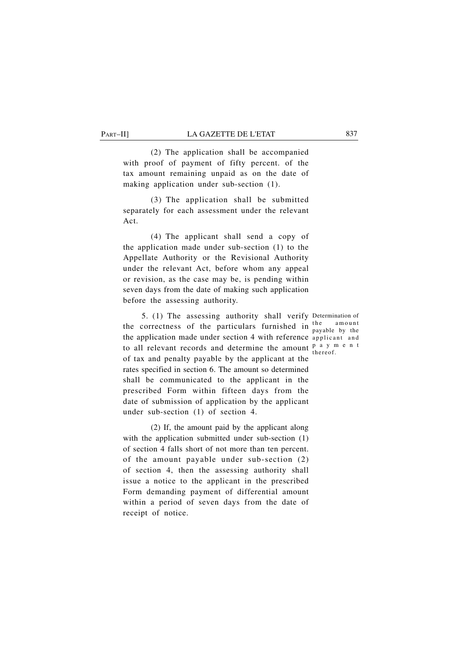(2) The application shall be accompanied with proof of payment of fifty percent. of the tax amount remaining unpaid as on the date of making application under sub-section (1).

(3) The application shall be submitted separately for each assessment under the relevant Act.

(4) The applicant shall send a copy of the application made under sub-section (1) to the Appellate Authority or the Revisional Authority under the relevant Act, before whom any appeal or revision, as the case may be, is pending within seven days from the date of making such application before the assessing authority.

5. (1) The assessing authority shall verify Determination of the correctness of the particulars furnished in  $\frac{\text{the}}{\text{hypoles}}$  hy the the application made under section 4 with reference applicant and to all relevant records and determine the amount  $\frac{p}{p}$  a y m e n t of tax and penalty payable by the applicant at the rates specified in section 6. The amount so determined shall be communicated to the applicant in the prescribed Form within fifteen days from the date of submission of application by the applicant under sub-section (1) of section 4.

(2) If, the amount paid by the applicant along with the application submitted under sub-section (1) of section 4 falls short of not more than ten percent. of the amount payable under sub-section (2) of section 4, then the assessing authority shall issue a notice to the applicant in the prescribed Form demanding payment of differential amount within a period of seven days from the date of receipt of notice.

payable by the thereof.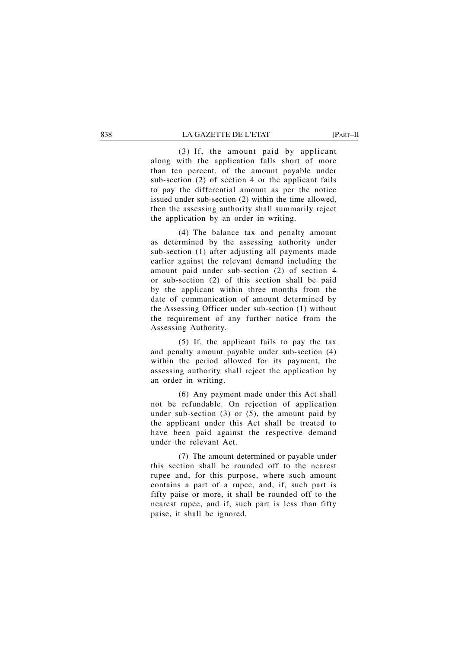(3) If, the amount paid by applicant along with the application falls short of more than ten percent. of the amount payable under sub-section (2) of section 4 or the applicant fails to pay the differential amount as per the notice issued under sub-section (2) within the time allowed, then the assessing authority shall summarily reject the application by an order in writing.

(4) The balance tax and penalty amount as determined by the assessing authority under sub-section (1) after adjusting all payments made earlier against the relevant demand including the amount paid under sub-section (2) of section 4 or sub-section (2) of this section shall be paid by the applicant within three months from the date of communication of amount determined by the Assessing Officer under sub-section (1) without the requirement of any further notice from the Assessing Authority.

(5) If, the applicant fails to pay the tax and penalty amount payable under sub-section (4) within the period allowed for its payment, the assessing authority shall reject the application by an order in writing.

(6) Any payment made under this Act shall not be refundable. On rejection of application under sub-section  $(3)$  or  $(5)$ , the amount paid by the applicant under this Act shall be treated to have been paid against the respective demand under the relevant Act.

(7) The amount determined or payable under this section shall be rounded off to the nearest rupee and, for this purpose, where such amount contains a part of a rupee, and, if, such part is fifty paise or more, it shall be rounded off to the nearest rupee, and if, such part is less than fifty paise, it shall be ignored.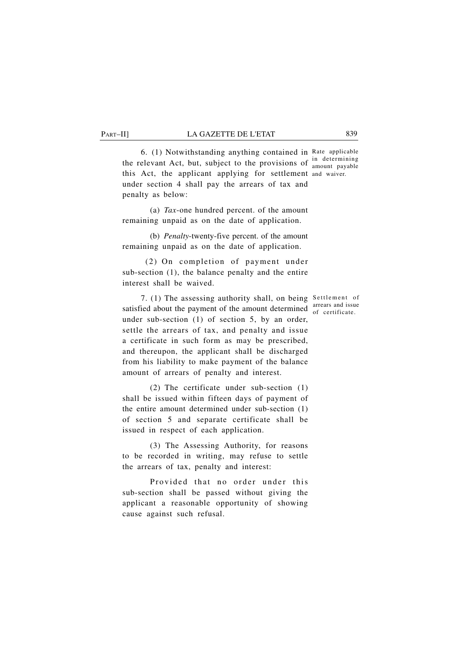amount payable

6. (1) Notwithstanding anything contained in Rate applicable the relevant Act, but, subject to the provisions of  $\frac{1}{2}$  determining this Act, the applicant applying for settlement and waiver. under section 4 shall pay the arrears of tax and penalty as below:

(a) *Tax*-one hundred percent. of the amount remaining unpaid as on the date of application.

(b) *Penalty*-twenty-five percent. of the amount remaining unpaid as on the date of application.

(2) On completion of payment under sub-section (1), the balance penalty and the entire interest shall be waived.

7. (1) The assessing authority shall, on being Settlement of satisfied about the payment of the amount determined  $\frac{\text{arrears and issue}}{\text{of certificate}}$ under sub-section (1) of section 5, by an order, settle the arrears of tax, and penalty and issue a certificate in such form as may be prescribed, and thereupon, the applicant shall be discharged from his liability to make payment of the balance amount of arrears of penalty and interest.

(2) The certificate under sub-section (1) shall be issued within fifteen days of payment of the entire amount determined under sub-section (1) of section 5 and separate certificate shall be issued in respect of each application.

(3) The Assessing Authority, for reasons to be recorded in writing, may refuse to settle the arrears of tax, penalty and interest:

Provided that no order under this sub-section shall be passed without giving the applicant a reasonable opportunity of showing cause against such refusal.

of certificate.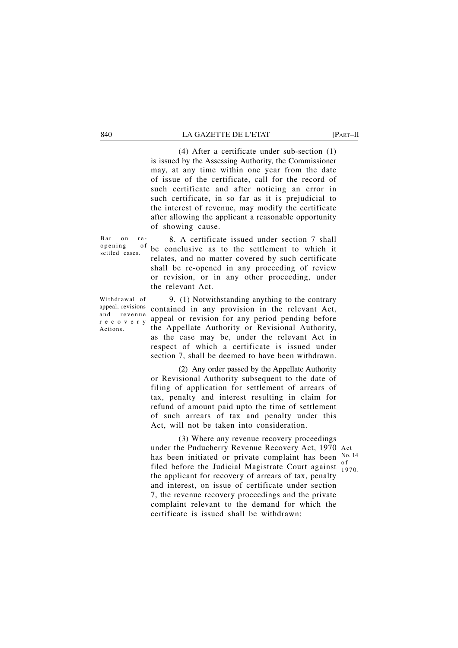(4) After a certificate under sub-section (1) is issued by the Assessing Authority, the Commissioner may, at any time within one year from the date of issue of the certificate, call for the record of such certificate and after noticing an error in such certificate, in so far as it is prejudicial to the interest of revenue, may modify the certificate after allowing the applicant a reasonable opportunity of showing cause.

Bar on reopening of settled cases.

8. A certificate issued under section 7 shall be conclusive as to the settlement to which it relates, and no matter covered by such certificate shall be re-opened in any proceeding of review or revision, or in any other proceeding, under the relevant Act.

Withdrawal of appeal, revisions and revenue recovery Actions.

9. (1) Notwithstanding anything to the contrary contained in any provision in the relevant Act, appeal or revision for any period pending before the Appellate Authority or Revisional Authority, as the case may be, under the relevant Act in respect of which a certificate is issued under section 7, shall be deemed to have been withdrawn.

(2) Any order passed by the Appellate Authority or Revisional Authority subsequent to the date of filing of application for settlement of arrears of tax, penalty and interest resulting in claim for refund of amount paid upto the time of settlement of such arrears of tax and penalty under this Act, will not be taken into consideration.

(3) Where any revenue recovery proceedings under the Puducherry Revenue Recovery Act, 1970 Act has been initiated or private complaint has been  $\frac{N_{0.14}}{s}$ filed before the Judicial Magistrate Court against  $\frac{0}{10}$ the applicant for recovery of arrears of tax, penalty and interest, on issue of certificate under section 7, the revenue recovery proceedings and the private complaint relevant to the demand for which the certificate is issued shall be withdrawn:

1970.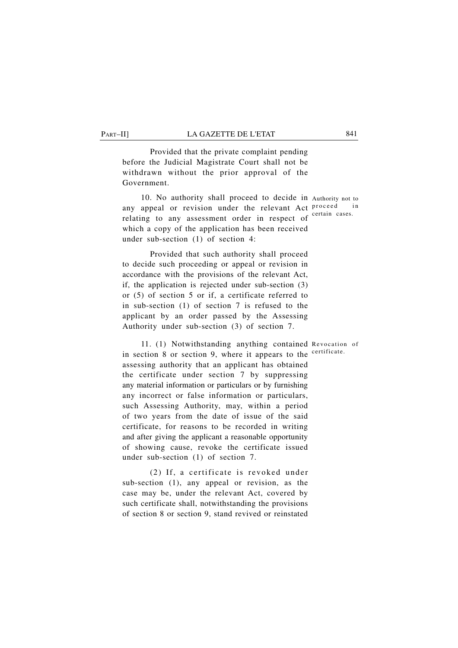Provided that the private complaint pending before the Judicial Magistrate Court shall not be withdrawn without the prior approval of the Government.

10. No authority shall proceed to decide in Authority not to any appeal or revision under the relevant Act proceed in relating to any assessment order in respect of certain cases. which a copy of the application has been received under sub-section (1) of section 4:

Provided that such authority shall proceed to decide such proceeding or appeal or revision in accordance with the provisions of the relevant Act, if, the application is rejected under sub-section (3) or (5) of section 5 or if, a certificate referred to in sub-section (1) of section 7 is refused to the applicant by an order passed by the Assessing Authority under sub-section (3) of section 7.

11. (1) Notwithstanding anything contained Revocation of in section 8 or section 9, where it appears to the <sup>certificate.</sup> assessing authority that an applicant has obtained the certificate under section 7 by suppressing any material information or particulars or by furnishing any incorrect or false information or particulars, such Assessing Authority, may, within a period of two years from the date of issue of the said certificate, for reasons to be recorded in writing and after giving the applicant a reasonable opportunity of showing cause, revoke the certificate issued under sub-section (1) of section 7.

(2) If, a certificate is revoked under sub-section (1), any appeal or revision, as the case may be, under the relevant Act, covered by such certificate shall, notwithstanding the provisions of section 8 or section 9, stand revived or reinstated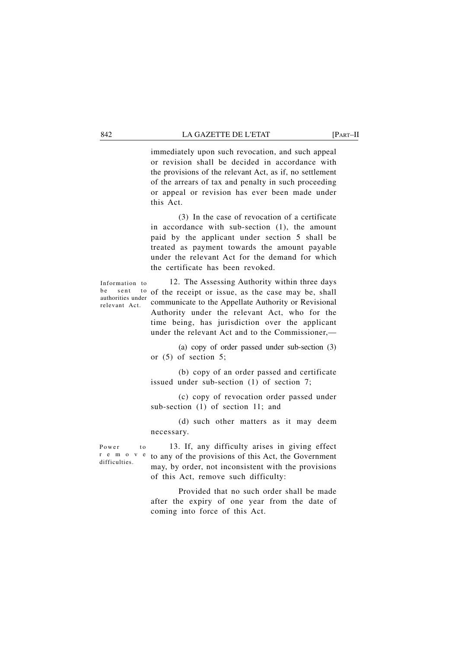immediately upon such revocation, and such appeal or revision shall be decided in accordance with the provisions of the relevant Act, as if, no settlement of the arrears of tax and penalty in such proceeding or appeal or revision has ever been made under this Act.

(3) In the case of revocation of a certificate in accordance with sub-section (1), the amount paid by the applicant under section 5 shall be treated as payment towards the amount payable under the relevant Act for the demand for which the certificate has been revoked.

Information to be sent authorities under relevant Act.

12. The Assessing Authority within three days to of the receipt or issue, as the case may be, shall communicate to the Appellate Authority or Revisional Authority under the relevant Act, who for the time being, has jurisdiction over the applicant under the relevant Act and to the Commissioner,—

(a) copy of order passed under sub-section (3) or (5) of section 5;

(b) copy of an order passed and certificate issued under sub-section (1) of section 7;

(c) copy of revocation order passed under sub-section (1) of section 11; and

(d) such other matters as it may deem necessary.

Power to remov difficulties.

13. If, any difficulty arises in giving effect to any of the provisions of this Act, the Government may, by order, not inconsistent with the provisions of this Act, remove such difficulty:

Provided that no such order shall be made after the expiry of one year from the date of coming into force of this Act.